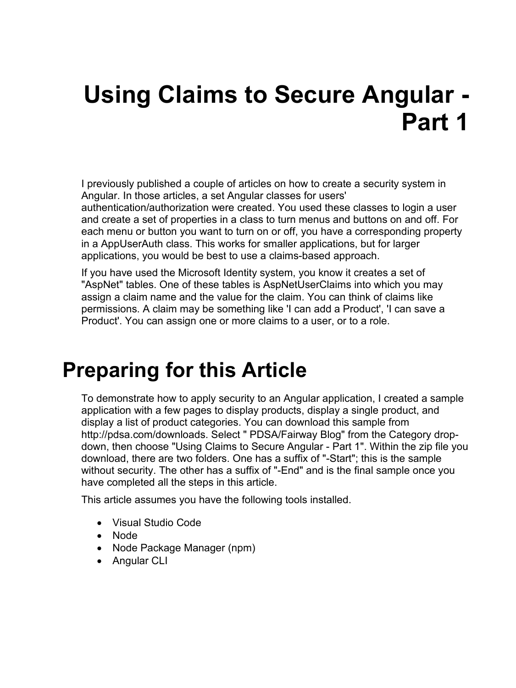# **Using Claims to Secure Angular - Part 1**

I previously published a couple of articles on how to create a security system in Angular. In those articles, a set Angular classes for users'

authentication/authorization were created. You used these classes to login a user and create a set of properties in a class to turn menus and buttons on and off. For each menu or button you want to turn on or off, you have a corresponding property in a AppUserAuth class. This works for smaller applications, but for larger applications, you would be best to use a claims-based approach.

If you have used the Microsoft Identity system, you know it creates a set of "AspNet" tables. One of these tables is AspNetUserClaims into which you may assign a claim name and the value for the claim. You can think of claims like permissions. A claim may be something like 'I can add a Product', 'I can save a Product'. You can assign one or more claims to a user, or to a role.

## **Preparing for this Article**

To demonstrate how to apply security to an Angular application, I created a sample application with a few pages to display products, display a single product, and display a list of product categories. You can download this sample from http://pdsa.com/downloads. Select " PDSA/Fairway Blog" from the Category dropdown, then choose "Using Claims to Secure Angular - Part 1". Within the zip file you download, there are two folders. One has a suffix of "-Start"; this is the sample without security. The other has a suffix of "-End" and is the final sample once you have completed all the steps in this article.

This article assumes you have the following tools installed.

- Visual Studio Code
- Node
- Node Package Manager (npm)
- Angular CLI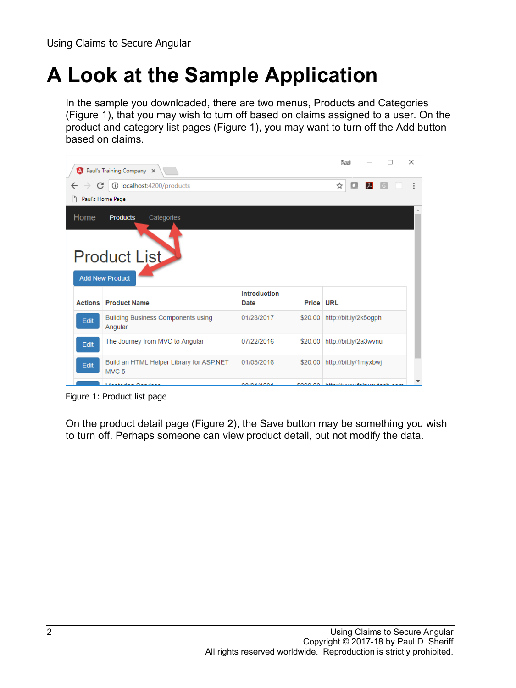# **A Look at the Sample Application**

In the sample you downloaded, there are two menus, Products and Categories (Figure 1), that you may wish to turn off based on claims assigned to a user. On the product and category list pages (Figure 1), you may want to turn off the Add button based on claims.



Figure 1: Product list page

On the product detail page (Figure 2), the Save button may be something you wish to turn off. Perhaps someone can view product detail, but not modify the data.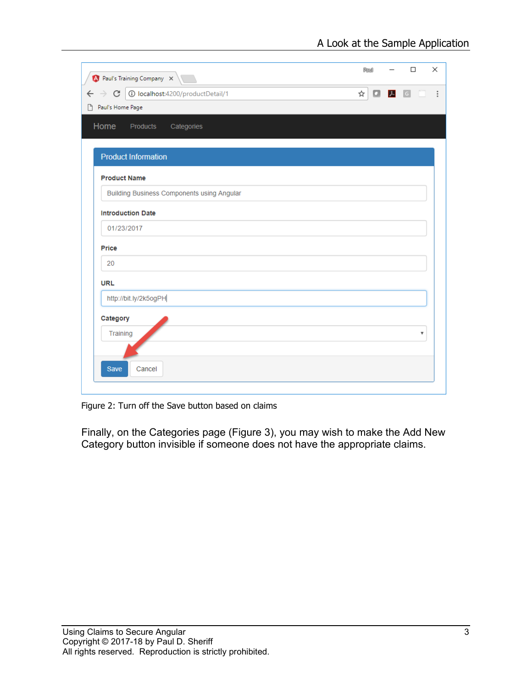| $\bigwedge$ Paul's Training Company $\times$                     | 陶训 | $\Box$ | ×  |
|------------------------------------------------------------------|----|--------|----|
| 1/D localhost:4200/productDetail<br>$\leftarrow$ $\rightarrow$ C | ☆  |        |    |
| Paul's Home Page                                                 |    |        |    |
| Home<br>Products<br>Categories                                   |    |        |    |
| <b>Product Information</b>                                       |    |        |    |
| <b>Product Name</b>                                              |    |        |    |
| <b>Building Business Components using Angular</b>                |    |        |    |
| <b>Introduction Date</b>                                         |    |        |    |
| 01/23/2017                                                       |    |        |    |
| <b>Price</b>                                                     |    |        |    |
| 20                                                               |    |        |    |
| <b>URL</b>                                                       |    |        |    |
| http://bit.ly/2k5ogPH                                            |    |        |    |
| Category                                                         |    |        |    |
| Training                                                         |    |        | ₩. |
|                                                                  |    |        |    |
| Cancel<br><b>Save</b>                                            |    |        |    |
|                                                                  |    |        |    |

Figure 2: Turn off the Save button based on claims

Finally, on the Categories page (Figure 3), you may wish to make the Add New Category button invisible if someone does not have the appropriate claims.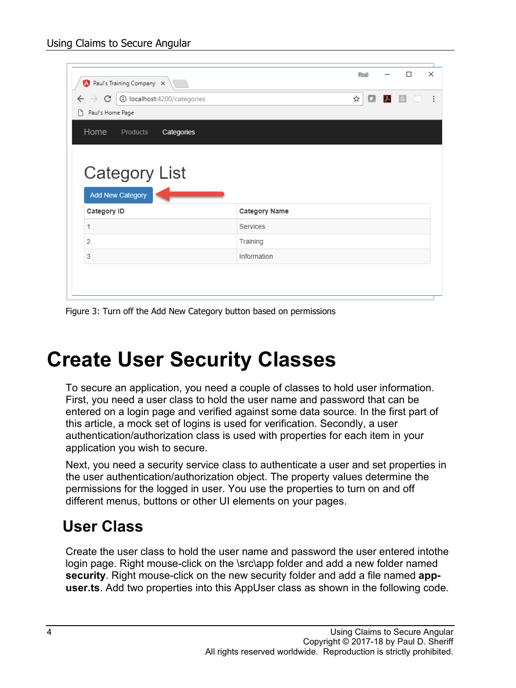| A Paul's Training Company X<br>1 localhost:4200/categories<br>$\leftarrow$ $\rightarrow$ C<br>ħ<br>Paul's Home Page |                      | <b>Raul</b><br>☆<br>α | $\mathcal{L}$ | □<br> G | X<br>$\ddot{\phantom{a}}$ |
|---------------------------------------------------------------------------------------------------------------------|----------------------|-----------------------|---------------|---------|---------------------------|
| <b>Home</b><br>Products<br>Categories                                                                               |                      |                       |               |         |                           |
|                                                                                                                     |                      |                       |               |         |                           |
| <b>Category List</b><br>Add New Category<br><b>Category ID</b>                                                      | <b>Category Name</b> |                       |               |         |                           |
| 1                                                                                                                   | <b>Services</b>      |                       |               |         |                           |
| 2                                                                                                                   | Training             |                       |               |         |                           |

Figure 3: Turn off the Add New Category button based on permissions

# **Create User Security Classes**

To secure an application, you need a couple of classes to hold user information. First, you need a user class to hold the user name and password that can be entered on a login page and verified against some data source. In the first part of this article, a mock set of logins is used for verification. Secondly, a user authentication/authorization class is used with properties for each item in your application you wish to secure.

Next, you need a security service class to authenticate a user and set properties in the user authentication/authorization object. The property values determine the permissions for the logged in user. You use the properties to turn on and off different menus, buttons or other UI elements on your pages.

#### **User Class**

Create the user class to hold the user name and password the user entered intothe login page. Right mouse-click on the \src\app folder and add a new folder named **security**. Right mouse-click on the new security folder and add a file named **appuser.ts**. Add two properties into this AppUser class as shown in the following code.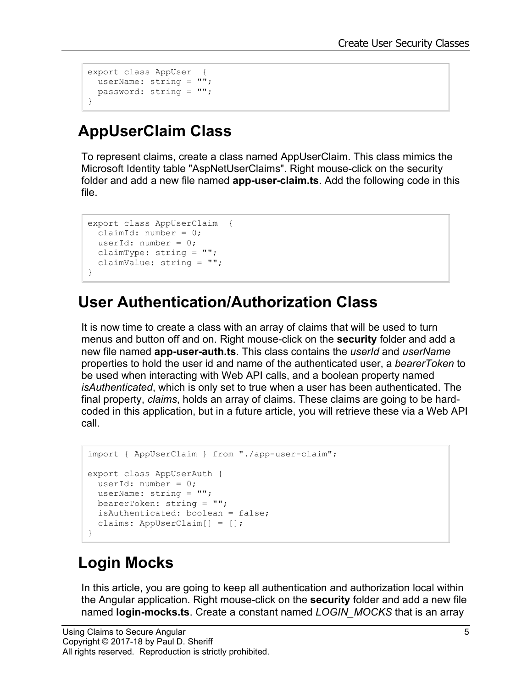```
export class AppUser {
userName: string = "";
  password: string = "";
}
```
#### **AppUserClaim Class**

To represent claims, create a class named AppUserClaim. This class mimics the Microsoft Identity table "AspNetUserClaims". Right mouse-click on the security folder and add a new file named **app-user-claim.ts**. Add the following code in this file.

```
export class AppUserClaim {
 claimId: number = 0;
 userId: number = 0;
  claimType: string = "";
  claimValue: string = "";
}
```
#### **User Authentication/Authorization Class**

It is now time to create a class with an array of claims that will be used to turn menus and button off and on. Right mouse-click on the **security** folder and add a new file named **app-user-auth.ts**. This class contains the *userId* and *userName* properties to hold the user id and name of the authenticated user, a *bearerToken* to be used when interacting with Web API calls, and a boolean property named *isAuthenticated*, which is only set to true when a user has been authenticated. The final property, *claims*, holds an array of claims. These claims are going to be hardcoded in this application, but in a future article, you will retrieve these via a Web API call.

```
import { AppUserClaim } from "./app-user-claim";
export class AppUserAuth {
 userId: number = 0;
  userName: string = "";
  bearerToken: string = "";
  isAuthenticated: boolean = false;
  claims: AppUserClaim[] = [];
}
```
#### **Login Mocks**

In this article, you are going to keep all authentication and authorization local within the Angular application. Right mouse-click on the **security** folder and add a new file named **login-mocks.ts**. Create a constant named *LOGIN\_MOCKS* that is an array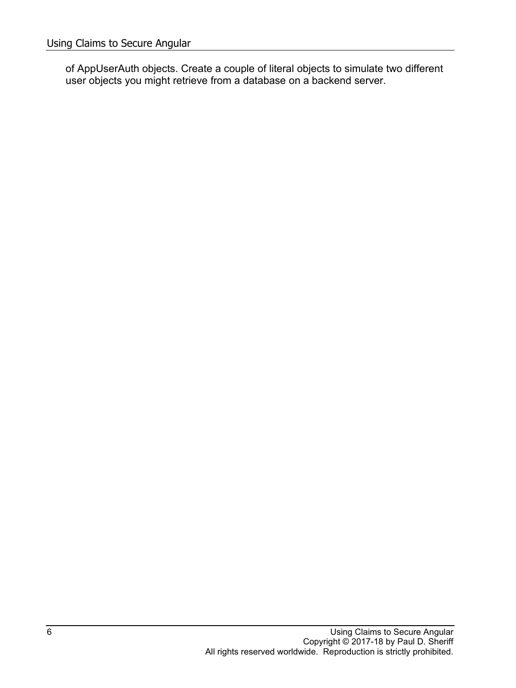of AppUserAuth objects. Create a couple of literal objects to simulate two different user objects you might retrieve from a database on a backend server.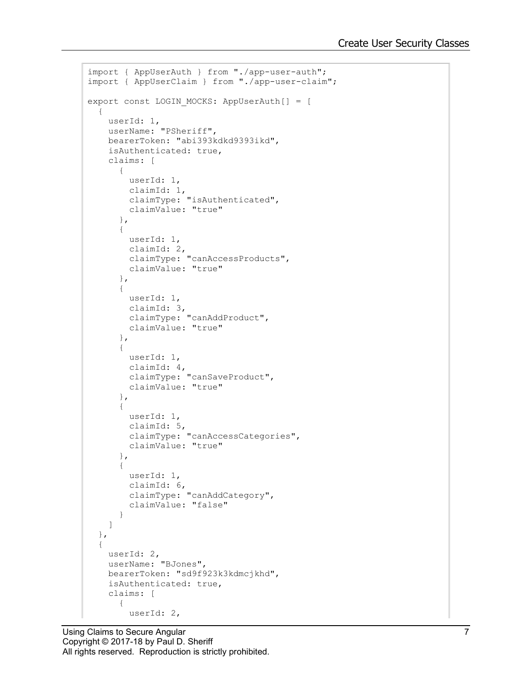```
import { AppUserAuth } from "./app-user-auth";
import { AppUserClaim } from "./app-user-claim";
export const LOGIN_MOCKS: AppUserAuth[] = [
 \{ userId: 1,
     userName: "PSheriff",
     bearerToken: "abi393kdkd9393ikd",
     isAuthenticated: true,
     claims: [
       {
         userId: 1,
         claimId: 1,
         claimType: "isAuthenticated",
         claimValue: "true"
       },
       {
        userId: 1,
        claimId: 2,
         claimType: "canAccessProducts",
         claimValue: "true"
       },
       {
         userId: 1,
         claimId: 3,
        claimType: "canAddProduct",
         claimValue: "true"
       },
       {
         userId: 1,
         claimId: 4,
         claimType: "canSaveProduct",
         claimValue: "true"
       },
       {
         userId: 1,
 claimId: 5,
 claimType: "canAccessCategories",
         claimValue: "true"
       },
       {
         userId: 1,
         claimId: 6,
         claimType: "canAddCategory",
         claimValue: "false"
       }
     ]
   },
   {
    userId: 2,
     userName: "BJones",
     bearerToken: "sd9f923k3kdmcjkhd",
     isAuthenticated: true,
     claims: [
       {
         userId: 2,
```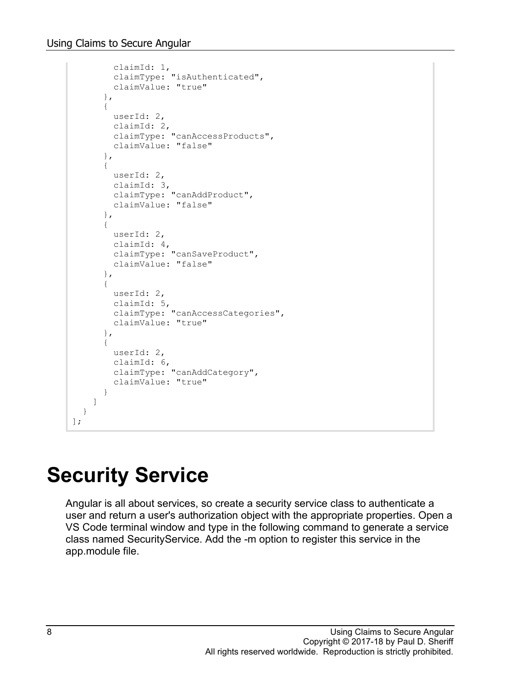```
 claimId: 1,
         claimType: "isAuthenticated",
         claimValue: "true"
       },
       {
         userId: 2,
         claimId: 2,
         claimType: "canAccessProducts",
         claimValue: "false"
       },
       {
         userId: 2,
         claimId: 3,
         claimType: "canAddProduct",
         claimValue: "false"
       },
       {
         userId: 2,
         claimId: 4,
         claimType: "canSaveProduct",
         claimValue: "false"
       },
       {
         userId: 2,
         claimId: 5,
         claimType: "canAccessCategories",
         claimValue: "true"
       },
       {
         userId: 2,
         claimId: 6,
         claimType: "canAddCategory",
         claimValue: "true"
       }
     ]
   }
];
```
# **Security Service**

Angular is all about services, so create a security service class to authenticate a user and return a user's authorization object with the appropriate properties. Open a VS Code terminal window and type in the following command to generate a service class named SecurityService. Add the -m option to register this service in the app.module file.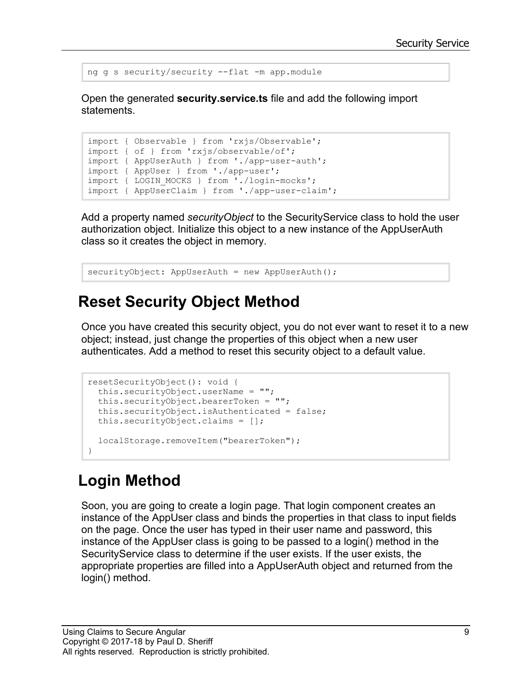```
ng g s security/security --flat -m app.module
```
Open the generated **security.service.ts** file and add the following import statements.

```
import { Observable } from 'rxjs/Observable';
import { of } from 'rxjs/observable/of';
import { AppUserAuth } from './app-user-auth';
import { AppUser } from './app-user';
import { LOGIN MOCKS } from './login-mocks';
import { AppUserClaim } from './app-user-claim';
```
Add a property named *securityObject* to the SecurityService class to hold the user authorization object. Initialize this object to a new instance of the AppUserAuth class so it creates the object in memory.

```
securityObject: AppUserAuth = new AppUserAuth();
```
#### **Reset Security Object Method**

Once you have created this security object, you do not ever want to reset it to a new object; instead, just change the properties of this object when a new user authenticates. Add a method to reset this security object to a default value.

```
resetSecurityObject(): void {
  this.securityObject.userName = "";
  this.securityObject.bearerToken = "";
  this.securityObject.isAuthenticated = false;
  this.securityObject.claims = [];
  localStorage.removeItem("bearerToken");
}
```
### **Login Method**

Soon, you are going to create a login page. That login component creates an instance of the AppUser class and binds the properties in that class to input fields on the page. Once the user has typed in their user name and password, this instance of the AppUser class is going to be passed to a login() method in the SecurityService class to determine if the user exists. If the user exists, the appropriate properties are filled into a AppUserAuth object and returned from the login() method.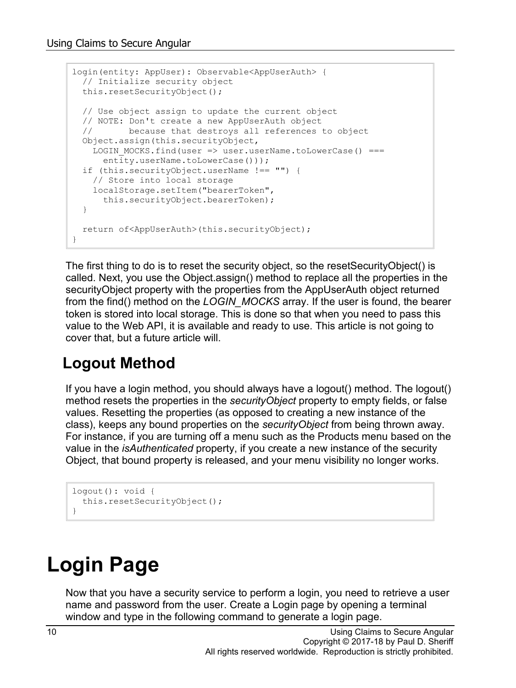```
login(entity: AppUser): Observable<AppUserAuth> {
  // Initialize security object
  this.resetSecurityObject();
  // Use object assign to update the current object
  // NOTE: Don't create a new AppUserAuth object
  // because that destroys all references to object
  Object.assign(this.securityObject,
   LOGIN MOCKS.find(user => user.userName.toLowerCase() ===
     entity.userName.toLowerCase()));
  if (this.securityObject.userName !== "") {
    // Store into local storage
    localStorage.setItem("bearerToken",
      this.securityObject.bearerToken);
  }
  return of<AppUserAuth>(this.securityObject);
}
```
The first thing to do is to reset the security object, so the resetSecurityObject() is called. Next, you use the Object.assign() method to replace all the properties in the securityObject property with the properties from the AppUserAuth object returned from the find() method on the *LOGIN\_MOCKS* array. If the user is found, the bearer token is stored into local storage. This is done so that when you need to pass this value to the Web API, it is available and ready to use. This article is not going to cover that, but a future article will.

#### **Logout Method**

If you have a login method, you should always have a logout() method. The logout() method resets the properties in the *securityObject* property to empty fields, or false values. Resetting the properties (as opposed to creating a new instance of the class), keeps any bound properties on the *securityObject* from being thrown away. For instance, if you are turning off a menu such as the Products menu based on the value in the *isAuthenticated* property, if you create a new instance of the security Object, that bound property is released, and your menu visibility no longer works.

```
logout(): void {
   this.resetSecurityObject();
}
```
# **Login Page**

Now that you have a security service to perform a login, you need to retrieve a user name and password from the user. Create a Login page by opening a terminal window and type in the following command to generate a login page.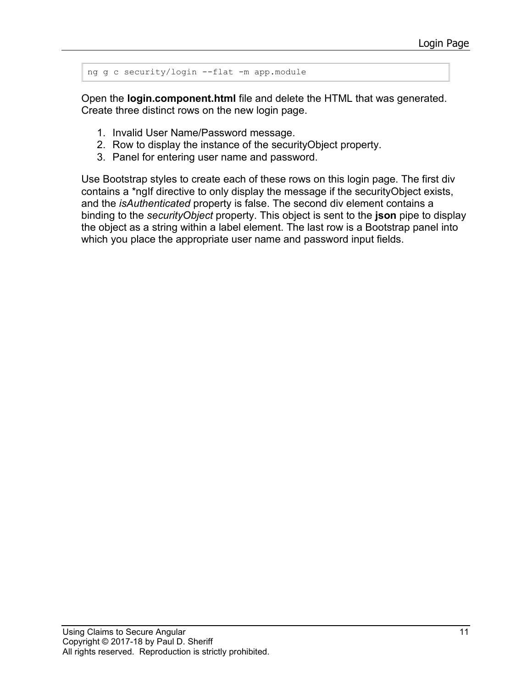```
ng g c security/login --flat -m app.module
```
Open the **login.component.html** file and delete the HTML that was generated. Create three distinct rows on the new login page.

- 1. Invalid User Name/Password message.
- 2. Row to display the instance of the securityObject property.
- 3. Panel for entering user name and password.

Use Bootstrap styles to create each of these rows on this login page. The first div contains a \*ngIf directive to only display the message if the securityObject exists, and the *isAuthenticated* property is false. The second div element contains a binding to the *securityObject* property. This object is sent to the **json** pipe to display the object as a string within a label element. The last row is a Bootstrap panel into which you place the appropriate user name and password input fields.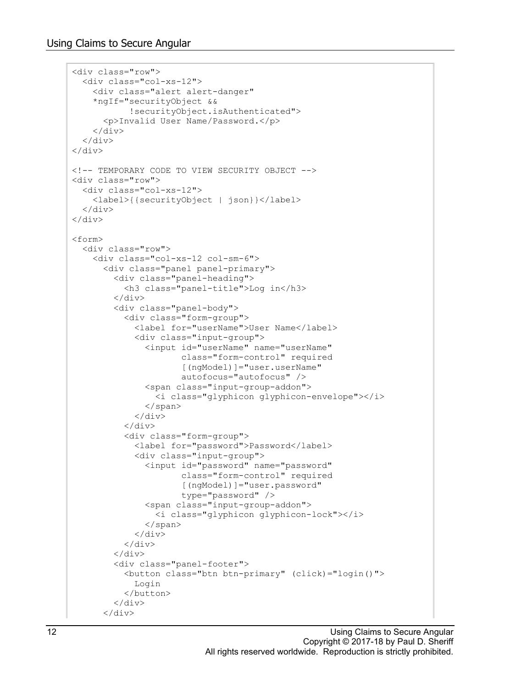```
<div class="row">
   <div class="col-xs-12">
     <div class="alert alert-danger" 
     *ngIf="securityObject &&
             !securityObject.isAuthenticated">
       <p>Invalid User Name/Password.</p>
    \langle/div\rangle\langle/div\rangle\langle/div\rangle<!-- TEMPORARY CODE TO VIEW SECURITY OBJECT -->
<div class="row">
   <div class="col-xs-12">
     <label>{{securityObject | json}}</label>
  \langle/div\rangle\langle div>
<form>
   <div class="row">
     <div class="col-xs-12 col-sm-6">
       <div class="panel panel-primary">
          <div class="panel-heading">
            <h3 class="panel-title">Log in</h3>
         \langle div>
          <div class="panel-body">
            <div class="form-group">
              <label for="userName">User Name</label>
              <div class="input-group">
                 <input id="userName" name="userName" 
                        class="form-control" required
                       [(ngModel)]="user.userName"
                       autofocus="autofocus" />
                 <span class="input-group-addon">
                  <i class="glyphicon glyphicon-envelope"></i>
                </span>
             \langle/div\rangle\langle/div\rangle <div class="form-group">
              <label for="password">Password</label>
              <div class="input-group">
                 <input id="password" name="password" 
                        class="form-control" required 
                        [(ngModel)]="user.password"
                       type="password" />
                <span class="input-group-addon">
                   <i class="glyphicon glyphicon-lock"></i>
                 </span>
              </div>
            </div>
          </div>
          <div class="panel-footer">
            <button class="btn btn-primary" (click)="login()">
              Login
            </button>
         \langle div>
      \langle div>
```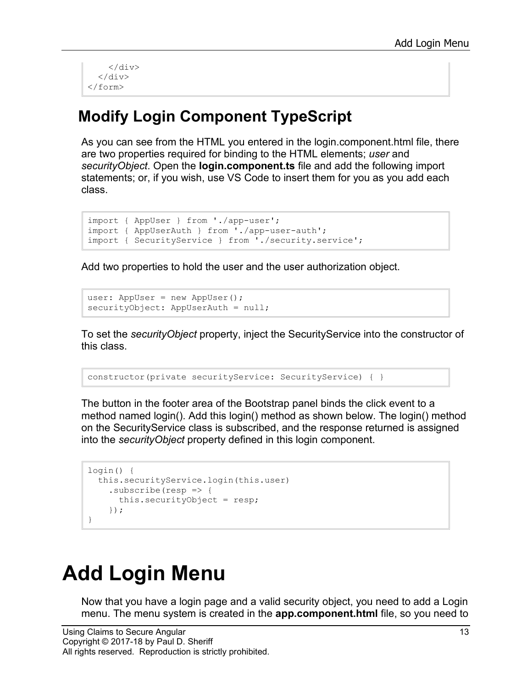```
\langle/div\rangle\langle/div\rangle\langle/form\rangle
```
#### **Modify Login Component TypeScript**

As you can see from the HTML you entered in the login.component.html file, there are two properties required for binding to the HTML elements; *user* and *securityObject*. Open the **login.component.ts** file and add the following import statements; or, if you wish, use VS Code to insert them for you as you add each class.

```
import { AppUser } from './app-user';
import { AppUserAuth } from './app-user-auth';
import { SecurityService } from './security.service';
```
Add two properties to hold the user and the user authorization object.

```
user: AppUser = new AppUser();
securityObject: AppUserAuth = null;
```
To set the *securityObject* property, inject the SecurityService into the constructor of this class.

```
constructor(private securityService: SecurityService) { }
```
The button in the footer area of the Bootstrap panel binds the click event to a method named login(). Add this login() method as shown below. The login() method on the SecurityService class is subscribed, and the response returned is assigned into the *securityObject* property defined in this login component.

```
login() {
   this.securityService.login(this.user)
    .subscribe(resp \Rightarrow {
       this.securityObject = resp;
     });
}
```
# **Add Login Menu**

Now that you have a login page and a valid security object, you need to add a Login menu. The menu system is created in the **app.component.html** file, so you need to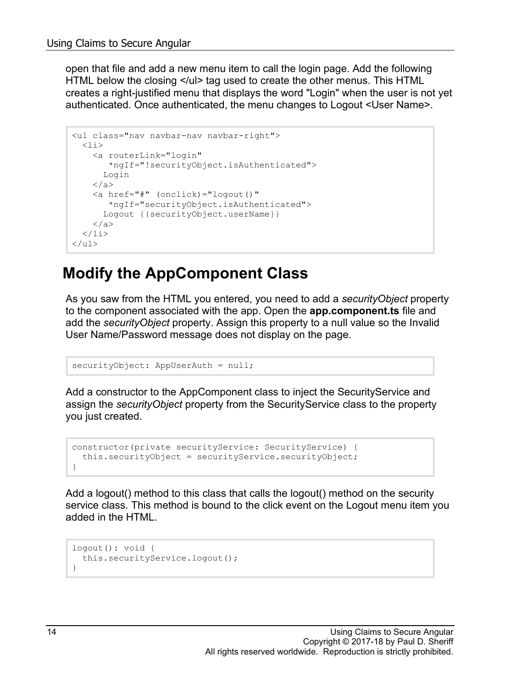open that file and add a new menu item to call the login page. Add the following HTML below the closing </ul> tag used to create the other menus. This HTML creates a right-justified menu that displays the word "Login" when the user is not yet authenticated. Once authenticated, the menu changes to Logout <User Name>.

```
<ul class="nav navbar-nav navbar-right">
  \langleli> <a routerLink="login" 
        *ngIf="!securityObject.isAuthenticated">
       Login
     </a>
     <a href="#" (onclick)="logout()"
        *ngIf="securityObject.isAuthenticated">
      Logout {{securityObject.userName}}
    \langlea>
  \langle/li>
\langle/ul>
```
#### **Modify the AppComponent Class**

As you saw from the HTML you entered, you need to add a *securityObject* property to the component associated with the app. Open the **app.component.ts** file and add the *securityObject* property. Assign this property to a null value so the Invalid User Name/Password message does not display on the page.

```
securityObject: AppUserAuth = null;
```
Add a constructor to the AppComponent class to inject the SecurityService and assign the *securityObject* property from the SecurityService class to the property you just created.

```
constructor(private securityService: SecurityService) {
   this.securityObject = securityService.securityObject;
}
```
Add a logout() method to this class that calls the logout() method on the security service class. This method is bound to the click event on the Logout menu item you added in the HTML.

```
logout(): void { 
   this.securityService.logout();
}
```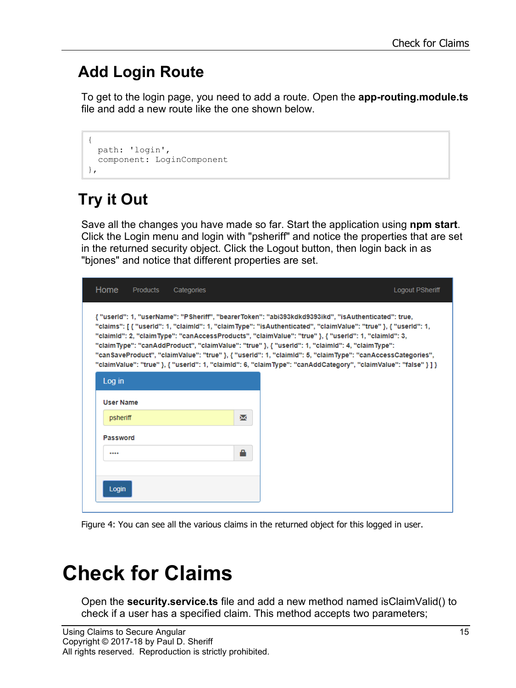### **Add Login Route**

To get to the login page, you need to add a route. Open the **app-routing.module.ts** file and add a new route like the one shown below.

```
{
  path: 'login', 
  component: LoginComponent
},
```
## **Try it Out**

Save all the changes you have made so far. Start the application using **npm start**. Click the Login menu and login with "psheriff" and notice the properties that are set in the returned security object. Click the Logout button, then login back in as "bjones" and notice that different properties are set.

| Home             | <b>Products</b> | Categories |                                                                                                                                                                                                                                                                                                                                                                                                                                                                                                                                                                                                                                                                    | <b>Logout PSheriff</b> |
|------------------|-----------------|------------|--------------------------------------------------------------------------------------------------------------------------------------------------------------------------------------------------------------------------------------------------------------------------------------------------------------------------------------------------------------------------------------------------------------------------------------------------------------------------------------------------------------------------------------------------------------------------------------------------------------------------------------------------------------------|------------------------|
|                  |                 |            | { "userid": 1, "userName": "PSheriff", "bearerToken": "abi393kdkd9393ikd", "isAuthenticated": true,<br>"claims": [ { "userId": 1, "claimId": 1, "claimType": "isAuthenticated", "claimValue": "true" }, { "userId": 1,<br>"claimId": 2, "claimType": "canAccessProducts", "claimValue": "true" }, { "userId": 1, "claimId": 3,<br>"claimType": "canAddProduct", "claimValue": "true" }, { "userId": 1, "claimId": 4, "claimType":<br>"canSaveProduct", "claimValue": "true" }, { "userId": 1, "claimId": 5, "claimType": "canAccessCategories",<br>"claimValue": "true" }, { "userId": 1, "claimId": 6, "claimType": "canAddCategory", "claimValue": "false" } ] } |                        |
| Log in           |                 |            |                                                                                                                                                                                                                                                                                                                                                                                                                                                                                                                                                                                                                                                                    |                        |
| <b>User Name</b> |                 |            |                                                                                                                                                                                                                                                                                                                                                                                                                                                                                                                                                                                                                                                                    |                        |
| psheriff         |                 | X          |                                                                                                                                                                                                                                                                                                                                                                                                                                                                                                                                                                                                                                                                    |                        |
| Password         |                 |            |                                                                                                                                                                                                                                                                                                                                                                                                                                                                                                                                                                                                                                                                    |                        |
|                  |                 | A          |                                                                                                                                                                                                                                                                                                                                                                                                                                                                                                                                                                                                                                                                    |                        |
|                  |                 |            |                                                                                                                                                                                                                                                                                                                                                                                                                                                                                                                                                                                                                                                                    |                        |
| Login            |                 |            |                                                                                                                                                                                                                                                                                                                                                                                                                                                                                                                                                                                                                                                                    |                        |

Figure 4: You can see all the various claims in the returned object for this logged in user.

# **Check for Claims**

Open the **security.service.ts** file and add a new method named isClaimValid() to check if a user has a specified claim. This method accepts two parameters;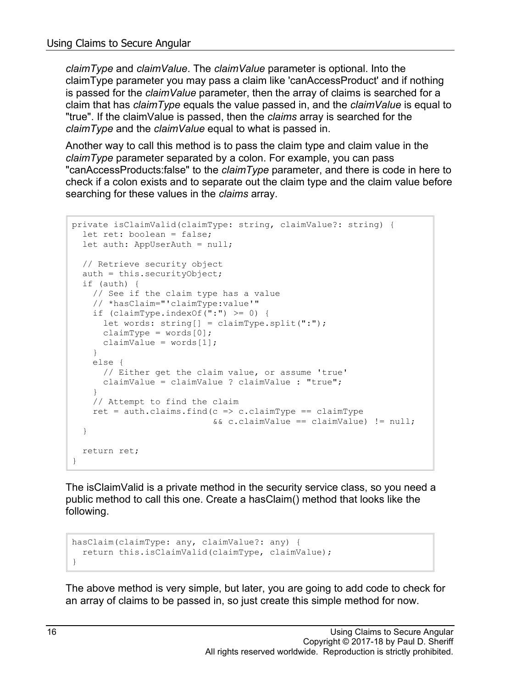*claimType* and *claimValue*. The *claimValue* parameter is optional. Into the claimType parameter you may pass a claim like 'canAccessProduct' and if nothing is passed for the *claimValue* parameter, then the array of claims is searched for a claim that has *claimType* equals the value passed in, and the *claimValue* is equal to "true". If the claimValue is passed, then the *claims* array is searched for the *claimType* and the *claimValue* equal to what is passed in.

Another way to call this method is to pass the claim type and claim value in the *claimType* parameter separated by a colon. For example, you can pass "canAccessProducts:false" to the *claimType* parameter, and there is code in here to check if a colon exists and to separate out the claim type and the claim value before searching for these values in the *claims* array.

```
private isClaimValid(claimType: string, claimValue?: string) {
  let ret: boolean = false;
  let auth: AppUserAuth = null;
  // Retrieve security object
   auth = this.securityObject;
   if (auth) {
    // See if the claim type has a value
     // *hasClaim="'claimType:value'"
    if (claimType.indexOf(":") >= 0) {
     let words: string[] = claimType.split(":");claimType = words[0];
      claimValue = words[1];
     }
     else {
       // Either get the claim value, or assume 'true'
       claimValue = claimValue ? claimValue : "true";
     }
     // Attempt to find the claim
    ret = auth.class.find(c \Rightarrow c.classimType == claimType && c.claimValue == claimValue) != null;
   }
  return ret;
}
```
The isClaimValid is a private method in the security service class, so you need a public method to call this one. Create a hasClaim() method that looks like the following.

```
hasClaim(claimType: any, claimValue?: any) {
  return this.isClaimValid(claimType, claimValue);
}
```
The above method is very simple, but later, you are going to add code to check for an array of claims to be passed in, so just create this simple method for now.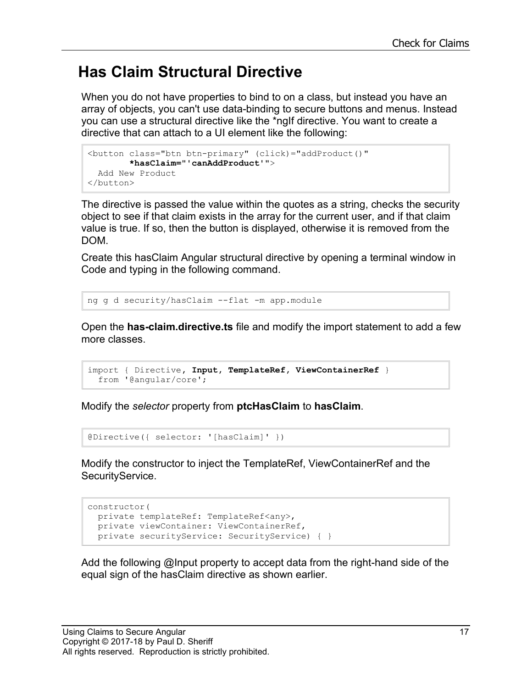#### **Has Claim Structural Directive**

When you do not have properties to bind to on a class, but instead you have an array of objects, you can't use data-binding to secure buttons and menus. Instead you can use a structural directive like the \*ngIf directive. You want to create a directive that can attach to a UI element like the following:

```
<button class="btn btn-primary" (click)="addProduct()"
        *hasClaim="'canAddProduct'">
  Add New Product
</button>
```
The directive is passed the value within the quotes as a string, checks the security object to see if that claim exists in the array for the current user, and if that claim value is true. If so, then the button is displayed, otherwise it is removed from the DOM.

Create this hasClaim Angular structural directive by opening a terminal window in Code and typing in the following command.

```
ng g d security/hasClaim --flat -m app.module
```
Open the **has-claim.directive.ts** file and modify the import statement to add a few more classes.

```
import { Directive, Input, TemplateRef, ViewContainerRef }
  from '@angular/core';
```
Modify the *selector* property from **ptcHasClaim** to **hasClaim**.

```
@Directive({ selector: '[hasClaim]' })
```
Modify the constructor to inject the TemplateRef, ViewContainerRef and the SecurityService.

```
constructor(
  private templateRef: TemplateRef<any>,
 private viewContainer: ViewContainerRef,
  private securityService: SecurityService) { }
```
Add the following @Input property to accept data from the right-hand side of the equal sign of the hasClaim directive as shown earlier.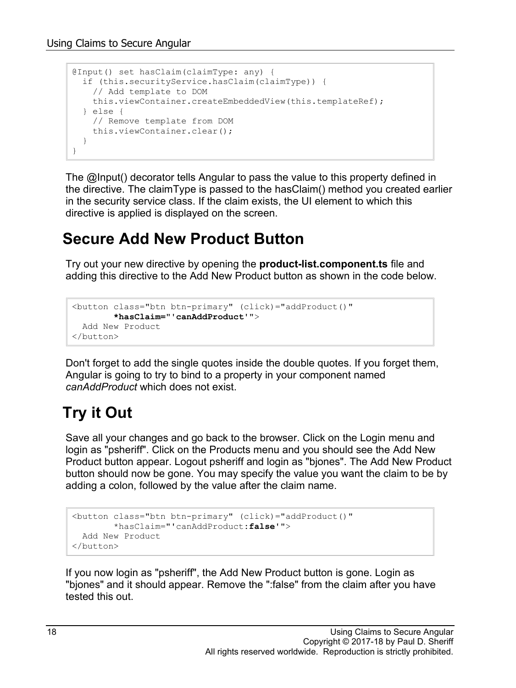```
@Input() set hasClaim(claimType: any) {
  if (this.securityService.hasClaim(claimType)) {
    // Add template to DOM
    this.viewContainer.createEmbeddedView(this.templateRef);
  } else {
    // Remove template from DOM
    this.viewContainer.clear();
  }
}
```
The @Input() decorator tells Angular to pass the value to this property defined in the directive. The claimType is passed to the hasClaim() method you created earlier in the security service class. If the claim exists, the UI element to which this directive is applied is displayed on the screen.

#### **Secure Add New Product Button**

Try out your new directive by opening the **product-list.component.ts** file and adding this directive to the Add New Product button as shown in the code below.

```
<button class="btn btn-primary" (click)="addProduct()"
        *hasClaim="'canAddProduct'">
  Add New Product
</button>
```
Don't forget to add the single quotes inside the double quotes. If you forget them, Angular is going to try to bind to a property in your component named *canAddProduct* which does not exist.

#### **Try it Out**

Save all your changes and go back to the browser. Click on the Login menu and login as "psheriff". Click on the Products menu and you should see the Add New Product button appear. Logout psheriff and login as "bjones". The Add New Product button should now be gone. You may specify the value you want the claim to be by adding a colon, followed by the value after the claim name.

```
<button class="btn btn-primary" (click)="addProduct()"
        *hasClaim="'canAddProduct:false'">
  Add New Product
</button>
```
If you now login as "psheriff", the Add New Product button is gone. Login as "bjones" and it should appear. Remove the ":false" from the claim after you have tested this out.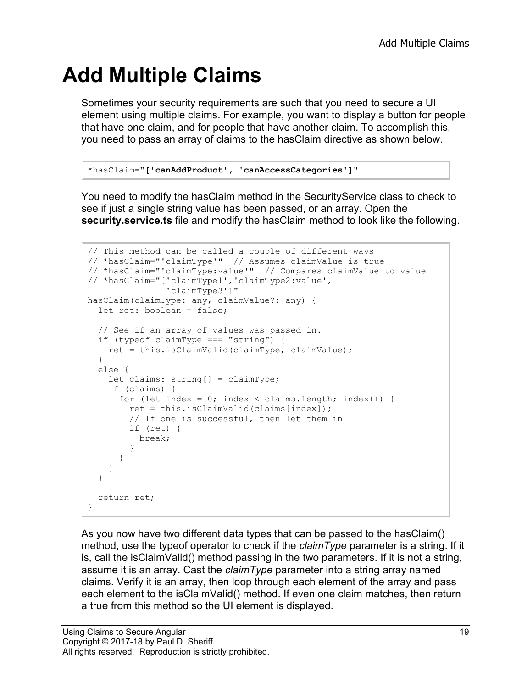## **Add Multiple Claims**

Sometimes your security requirements are such that you need to secure a UI element using multiple claims. For example, you want to display a button for people that have one claim, and for people that have another claim. To accomplish this, you need to pass an array of claims to the hasClaim directive as shown below.

```
*hasClaim="['canAddProduct', 'canAccessCategories']"
```
You need to modify the hasClaim method in the SecurityService class to check to see if just a single string value has been passed, or an array. Open the **security.service.ts** file and modify the hasClaim method to look like the following.

```
// This method can be called a couple of different ways
// *hasClaim="'claimType'" // Assumes claimValue is true
// *hasClaim="'claimType:value'" // Compares claimValue to value
// *hasClaim="['claimType1','claimType2:value',
                'claimType3']"
hasClaim(claimType: any, claimValue?: any) {
  let ret: boolean = false;
   // See if an array of values was passed in.
   if (typeof claimType === "string") {
    ret = this.isClaimValid(claimType, claimValue);
   }
  else {
     let claims: string[] = claimType;
     if (claims) {
      for (let index = 0; index < claims.length; index++) {
         ret = this.isClaimValid(claims[index]);
         // If one is successful, then let them in
         if (ret) {
           break;
 }
       }
     }
   }
   return ret;
}
```
As you now have two different data types that can be passed to the hasClaim() method, use the typeof operator to check if the *claimType* parameter is a string. If it is, call the isClaimValid() method passing in the two parameters. If it is not a string, assume it is an array. Cast the *claimType* parameter into a string array named claims. Verify it is an array, then loop through each element of the array and pass each element to the isClaimValid() method. If even one claim matches, then return a true from this method so the UI element is displayed.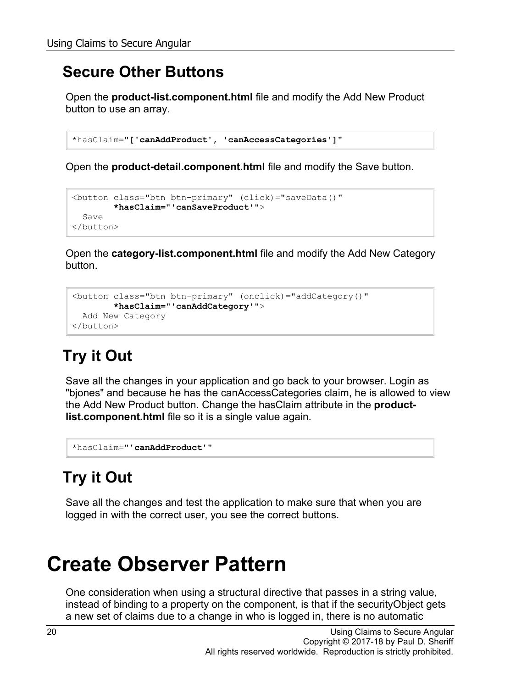#### **Secure Other Buttons**

Open the **product-list.component.html** file and modify the Add New Product button to use an array.

```
*hasClaim="['canAddProduct', 'canAccessCategories']"
```
Open the **product-detail.component.html** file and modify the Save button.

```
<button class="btn btn-primary" (click)="saveData()"
        *hasClaim="'canSaveProduct'">
  Save
</button>
```
Open the **category-list.component.html** file and modify the Add New Category button.

```
<button class="btn btn-primary" (onclick)="addCategory()"
         *hasClaim="'canAddCategory'">
  Add New Category
</button>
```
## **Try it Out**

Save all the changes in your application and go back to your browser. Login as "bjones" and because he has the canAccessCategories claim, he is allowed to view the Add New Product button. Change the hasClaim attribute in the **productlist.component.html** file so it is a single value again.

```
*hasClaim="'canAddProduct'"
```
## **Try it Out**

Save all the changes and test the application to make sure that when you are logged in with the correct user, you see the correct buttons.

## **Create Observer Pattern**

One consideration when using a structural directive that passes in a string value, instead of binding to a property on the component, is that if the securityObject gets a new set of claims due to a change in who is logged in, there is no automatic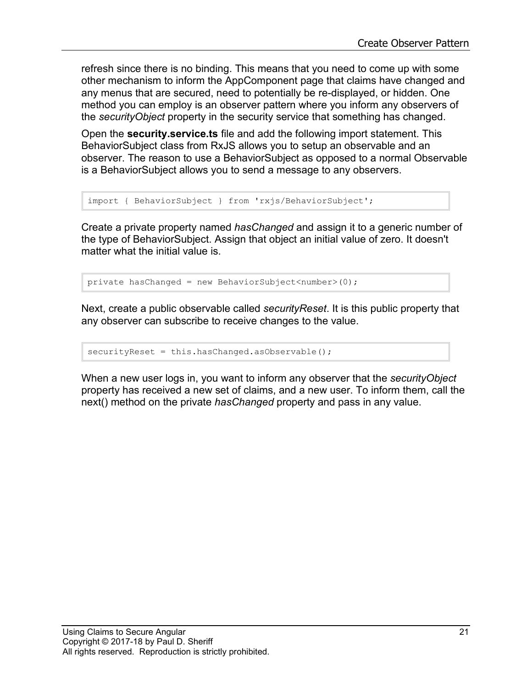refresh since there is no binding. This means that you need to come up with some other mechanism to inform the AppComponent page that claims have changed and any menus that are secured, need to potentially be re-displayed, or hidden. One method you can employ is an observer pattern where you inform any observers of the *securityObject* property in the security service that something has changed.

Open the **security.service.ts** file and add the following import statement. This BehaviorSubject class from RxJS allows you to setup an observable and an observer. The reason to use a BehaviorSubject as opposed to a normal Observable is a BehaviorSubject allows you to send a message to any observers.

```
import { BehaviorSubject } from 'rxjs/BehaviorSubject';
```
Create a private property named *hasChanged* and assign it to a generic number of the type of BehaviorSubject. Assign that object an initial value of zero. It doesn't matter what the initial value is.

private hasChanged = new BehaviorSubject<number>(0);

Next, create a public observable called *securityReset*. It is this public property that any observer can subscribe to receive changes to the value.

```
securityReset = this.hasChanged.asObservable();
```
When a new user logs in, you want to inform any observer that the *securityObject* property has received a new set of claims, and a new user. To inform them, call the next() method on the private *hasChanged* property and pass in any value.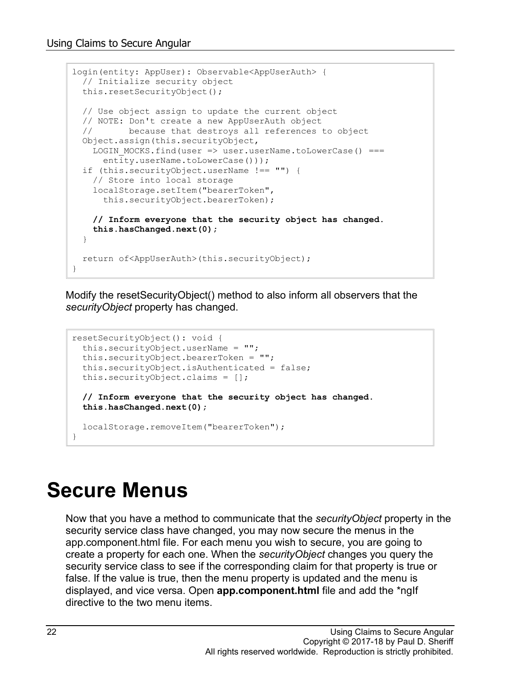```
login(entity: AppUser): Observable<AppUserAuth> {
  // Initialize security object
  this.resetSecurityObject();
  // Use object assign to update the current object
  // NOTE: Don't create a new AppUserAuth object
         because that destroys all references to object
  Object.assign(this.securityObject,
   LOGIN MOCKS.find(user => user.userName.toLowerCase() ===
     entity.userName.toLowerCase()));
  if (this.securityObject.userName !== "") {
    // Store into local storage
    localStorage.setItem("bearerToken",
      this.securityObject.bearerToken);
     // Inform everyone that the security object has changed.
     this.hasChanged.next(0);
  }
  return of<AppUserAuth>(this.securityObject);
}
```
Modify the resetSecurityObject() method to also inform all observers that the *securityObject* property has changed.

```
resetSecurityObject(): void {
  this.securityObject.userName = "";
   this.securityObject.bearerToken = "";
   this.securityObject.isAuthenticated = false;
   this.securityObject.claims = [];
 // Inform everyone that the security object has changed.
  this.hasChanged.next(0);
   localStorage.removeItem("bearerToken");
}
```
## **Secure Menus**

Now that you have a method to communicate that the *securityObject* property in the security service class have changed, you may now secure the menus in the app.component.html file. For each menu you wish to secure, you are going to create a property for each one. When the *securityObject* changes you query the security service class to see if the corresponding claim for that property is true or false. If the value is true, then the menu property is updated and the menu is displayed, and vice versa. Open **app.component.html** file and add the \*ngIf directive to the two menu items.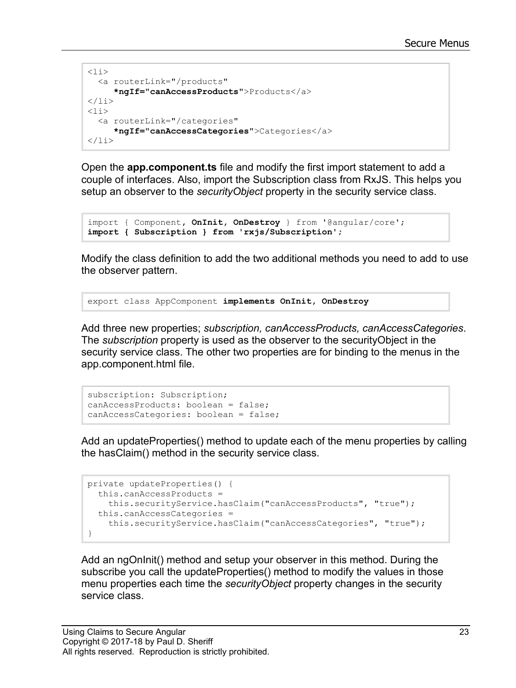```
\langleli\rangle <a routerLink="/products"
      *ngIf="canAccessProducts">Products</a>
\langle/li><li>
   <a routerLink="/categories"
      *ngIf="canAccessCategories">Categories</a>
\langle/li>
```
Open the **app.component.ts** file and modify the first import statement to add a couple of interfaces. Also, import the Subscription class from RxJS. This helps you setup an observer to the *securityObject* property in the security service class.

```
import { Component, OnInit, OnDestroy } from '@angular/core';
import { Subscription } from 'rxjs/Subscription';
```
Modify the class definition to add the two additional methods you need to add to use the observer pattern.

```
export class AppComponent implements OnInit, OnDestroy
```
Add three new properties; *subscription, canAccessProducts, canAccessCategories*. The *subscription* property is used as the observer to the securityObject in the security service class. The other two properties are for binding to the menus in the app.component.html file.

```
subscription: Subscription;
canAccessProducts: boolean = false;
canAccessCategories: boolean = false;
```
Add an updateProperties() method to update each of the menu properties by calling the hasClaim() method in the security service class.

```
private updateProperties() {
  this.canAccessProducts =
    this.securityService.hasClaim("canAccessProducts", "true");
 this.canAccessCategories = 
    this.securityService.hasClaim("canAccessCategories", "true");
}
```
Add an ngOnInit() method and setup your observer in this method. During the subscribe you call the updateProperties() method to modify the values in those menu properties each time the *securityObject* property changes in the security service class.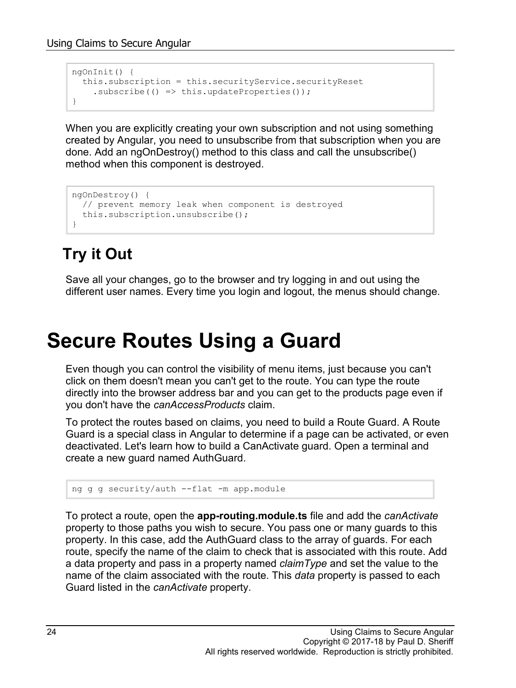```
ngOnInit() {
  this.subscription = this.securityService.securityReset
    subscript (() \Rightarrow this.updateProperties());
}
```
When you are explicitly creating your own subscription and not using something created by Angular, you need to unsubscribe from that subscription when you are done. Add an ngOnDestroy() method to this class and call the unsubscribe() method when this component is destroyed.

```
ngOnDestroy() {
   // prevent memory leak when component is destroyed
   this.subscription.unsubscribe();
}
```
## **Try it Out**

Save all your changes, go to the browser and try logging in and out using the different user names. Every time you login and logout, the menus should change.

## **Secure Routes Using a Guard**

Even though you can control the visibility of menu items, just because you can't click on them doesn't mean you can't get to the route. You can type the route directly into the browser address bar and you can get to the products page even if you don't have the *canAccessProducts* claim.

To protect the routes based on claims, you need to build a Route Guard. A Route Guard is a special class in Angular to determine if a page can be activated, or even deactivated. Let's learn how to build a CanActivate guard. Open a terminal and create a new guard named AuthGuard.

```
ng g g security/auth --flat -m app.module
```
To protect a route, open the **app-routing.module.ts** file and add the *canActivate* property to those paths you wish to secure. You pass one or many guards to this property. In this case, add the AuthGuard class to the array of guards. For each route, specify the name of the claim to check that is associated with this route. Add a data property and pass in a property named *claimType* and set the value to the name of the claim associated with the route. This *data* property is passed to each Guard listed in the *canActivate* property.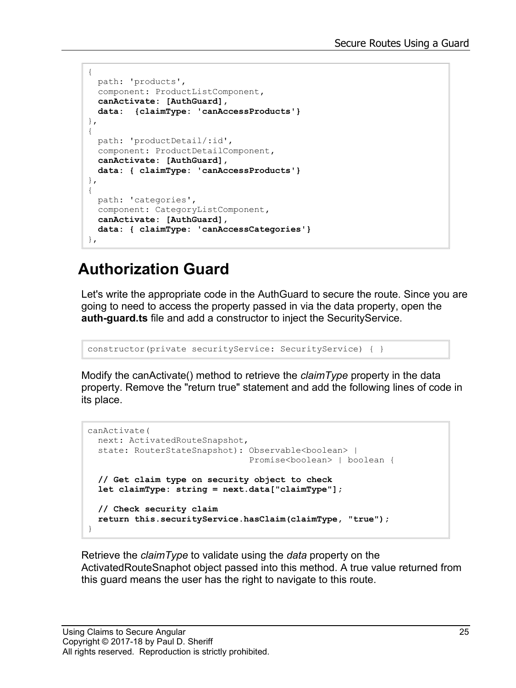```
{ 
  path: 'products', 
  component: ProductListComponent,
   canActivate: [AuthGuard],
   data: {claimType: 'canAccessProducts'}
},
{ 
   path: 'productDetail/:id',
   component: ProductDetailComponent,
   canActivate: [AuthGuard],
   data: { claimType: 'canAccessProducts'}
},
{
   path: 'categories',
   component: CategoryListComponent,
   canActivate: [AuthGuard],
   data: { claimType: 'canAccessCategories'}
},
```
#### **Authorization Guard**

Let's write the appropriate code in the AuthGuard to secure the route. Since you are going to need to access the property passed in via the data property, open the **auth-guard.ts** file and add a constructor to inject the SecurityService.

constructor(private securityService: SecurityService) { }

Modify the canActivate() method to retrieve the *claimType* property in the data property. Remove the "return true" statement and add the following lines of code in its place.

```
canActivate(
  next: ActivatedRouteSnapshot,
 state: RouterStateSnapshot): Observable<br/>boolean> |
                                Promise<boolean> | boolean {
  // Get claim type on security object to check
  let claimType: string = next.data["claimType"];
   // Check security claim
  return this.securityService.hasClaim(claimType, "true");
}
```
Retrieve the *claimType* to validate using the *data* property on the ActivatedRouteSnaphot object passed into this method. A true value returned from this guard means the user has the right to navigate to this route.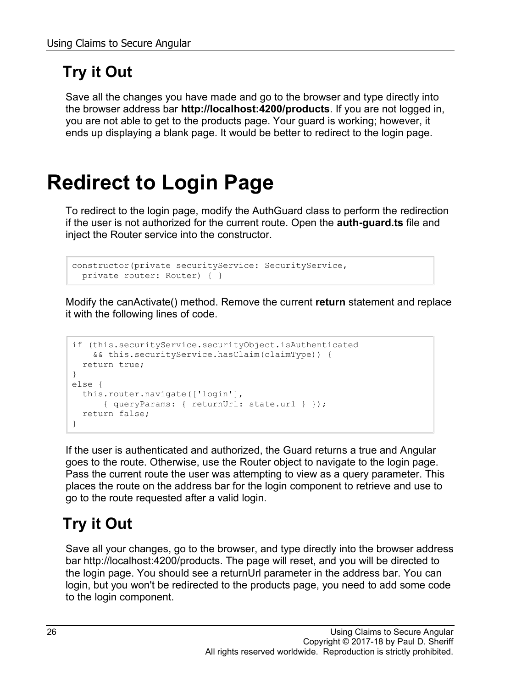### **Try it Out**

Save all the changes you have made and go to the browser and type directly into the browser address bar **http://localhost:4200/products**. If you are not logged in, you are not able to get to the products page. Your guard is working; however, it ends up displaying a blank page. It would be better to redirect to the login page.

# **Redirect to Login Page**

To redirect to the login page, modify the AuthGuard class to perform the redirection if the user is not authorized for the current route. Open the **auth-guard.ts** file and inject the Router service into the constructor.

```
constructor(private securityService: SecurityService,
  private router: Router) { }
```
Modify the canActivate() method. Remove the current **return** statement and replace it with the following lines of code.

```
if (this.securityService.securityObject.isAuthenticated 
     && this.securityService.hasClaim(claimType)) {
  return true;
}
else {
  this.router.navigate(['login'], 
     { queryParams: { returnUrl: state.url } });
  return false;
}
```
If the user is authenticated and authorized, the Guard returns a true and Angular goes to the route. Otherwise, use the Router object to navigate to the login page. Pass the current route the user was attempting to view as a query parameter. This places the route on the address bar for the login component to retrieve and use to go to the route requested after a valid login.

### **Try it Out**

Save all your changes, go to the browser, and type directly into the browser address bar http://localhost:4200/products. The page will reset, and you will be directed to the login page. You should see a returnUrl parameter in the address bar. You can login, but you won't be redirected to the products page, you need to add some code to the login component.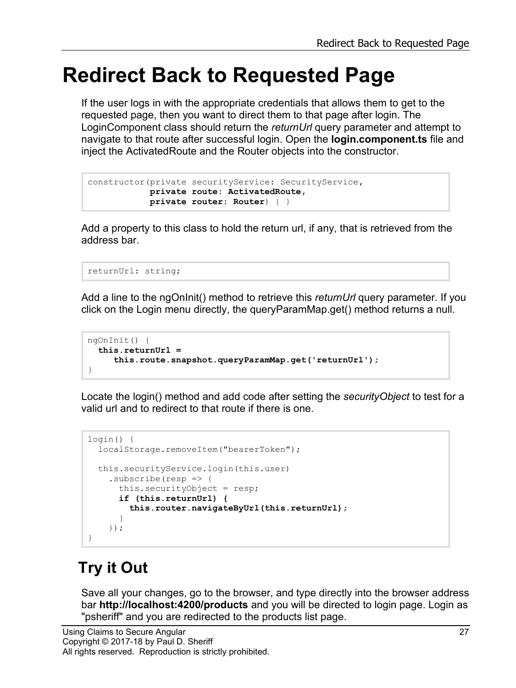## **Redirect Back to Requested Page**

If the user logs in with the appropriate credentials that allows them to get to the requested page, then you want to direct them to that page after login. The LoginComponent class should return the *returnUrl* query parameter and attempt to navigate to that route after successful login. Open the **login.component.ts** file and inject the ActivatedRoute and the Router objects into the constructor.

```
constructor(private securityService: SecurityService,
            private route: ActivatedRoute,
             private router: Router) { }
```
Add a property to this class to hold the return url, if any, that is retrieved from the address bar.

```
returnUrl: string;
```
Add a line to the ngOnInit() method to retrieve this *returnUrl* query parameter. If you click on the Login menu directly, the queryParamMap.get() method returns a null.

```
ngOnInit() {
  this.returnUrl = 
      this.route.snapshot.queryParamMap.get('returnUrl');
}
```
Locate the login() method and add code after setting the *securityObject* to test for a valid url and to redirect to that route if there is one.

```
login() {
   localStorage.removeItem("bearerToken");
   this.securityService.login(this.user)
    .subscribe(resp \Rightarrow {
      this.securityObject = resp;
       if (this.returnUrl) {
         this.router.navigateByUrl(this.returnUrl);
 }
     });
}
```
### **Try it Out**

Save all your changes, go to the browser, and type directly into the browser address bar **http://localhost:4200/products** and you will be directed to login page. Login as "psheriff" and you are redirected to the products list page.